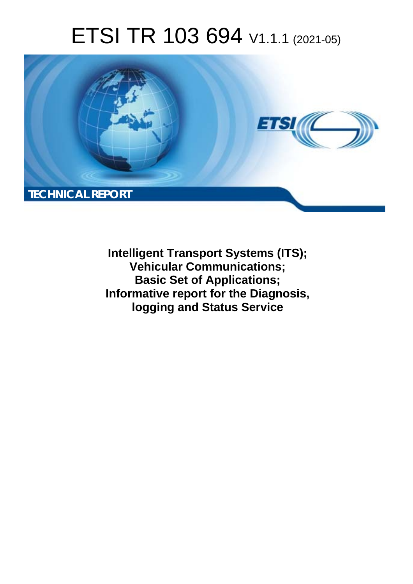# ETSI TR 103 694 V1.1.1 (2021-05)



**Intelligent Transport Systems (ITS); Vehicular Communications; Basic Set of Applications; Informative report for the Diagnosis, logging and Status Service**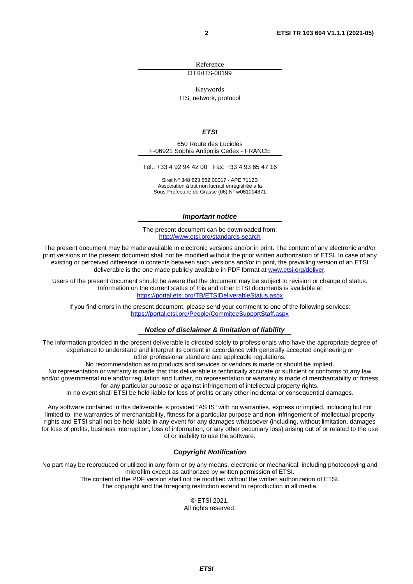Reference DTR/ITS-00199

Keywords

ITS, network, protocol

#### *ETSI*

650 Route des Lucioles F-06921 Sophia Antipolis Cedex - FRANCE

Tel.: +33 4 92 94 42 00 Fax: +33 4 93 65 47 16

Siret N° 348 623 562 00017 - APE 7112B Association à but non lucratif enregistrée à la Sous-Préfecture de Grasse (06) N° w061004871

#### *Important notice*

The present document can be downloaded from: <http://www.etsi.org/standards-search>

The present document may be made available in electronic versions and/or in print. The content of any electronic and/or print versions of the present document shall not be modified without the prior written authorization of ETSI. In case of any existing or perceived difference in contents between such versions and/or in print, the prevailing version of an ETSI deliverable is the one made publicly available in PDF format at [www.etsi.org/deliver](http://www.etsi.org/deliver).

Users of the present document should be aware that the document may be subject to revision or change of status. Information on the current status of this and other ETSI documents is available at <https://portal.etsi.org/TB/ETSIDeliverableStatus.aspx>

If you find errors in the present document, please send your comment to one of the following services: <https://portal.etsi.org/People/CommiteeSupportStaff.aspx>

#### *Notice of disclaimer & limitation of liability*

The information provided in the present deliverable is directed solely to professionals who have the appropriate degree of experience to understand and interpret its content in accordance with generally accepted engineering or other professional standard and applicable regulations.

No recommendation as to products and services or vendors is made or should be implied.

No representation or warranty is made that this deliverable is technically accurate or sufficient or conforms to any law and/or governmental rule and/or regulation and further, no representation or warranty is made of merchantability or fitness for any particular purpose or against infringement of intellectual property rights.

In no event shall ETSI be held liable for loss of profits or any other incidental or consequential damages.

Any software contained in this deliverable is provided "AS IS" with no warranties, express or implied, including but not limited to, the warranties of merchantability, fitness for a particular purpose and non-infringement of intellectual property rights and ETSI shall not be held liable in any event for any damages whatsoever (including, without limitation, damages for loss of profits, business interruption, loss of information, or any other pecuniary loss) arising out of or related to the use of or inability to use the software.

#### *Copyright Notification*

No part may be reproduced or utilized in any form or by any means, electronic or mechanical, including photocopying and microfilm except as authorized by written permission of ETSI. The content of the PDF version shall not be modified without the written authorization of ETSI.

The copyright and the foregoing restriction extend to reproduction in all media.

© ETSI 2021. All rights reserved.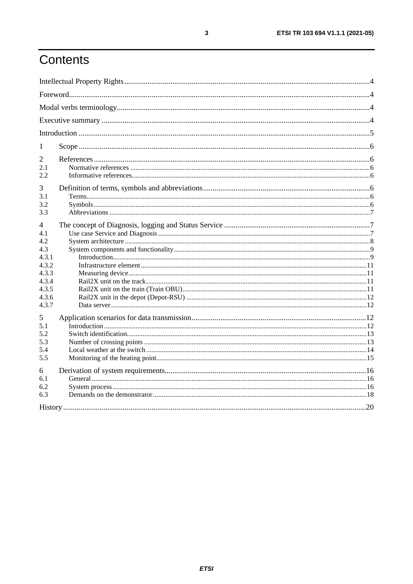## Contents

| 1          |  |  |  |
|------------|--|--|--|
| 2          |  |  |  |
| 2.1<br>2.2 |  |  |  |
| 3          |  |  |  |
| 3.1        |  |  |  |
| 3.2<br>3.3 |  |  |  |
| 4          |  |  |  |
| 4.1        |  |  |  |
| 4.2        |  |  |  |
| 4.3        |  |  |  |
| 4.3.1      |  |  |  |
| 4.3.2      |  |  |  |
| 4.3.3      |  |  |  |
| 4.3.4      |  |  |  |
| 4.3.5      |  |  |  |
| 4.3.6      |  |  |  |
| 4.3.7      |  |  |  |
| 5          |  |  |  |
| 5.1        |  |  |  |
| 5.2        |  |  |  |
| 5.3        |  |  |  |
| 5.4        |  |  |  |
| 5.5        |  |  |  |
| 6          |  |  |  |
| 6.1        |  |  |  |
| 6.2        |  |  |  |
| 6.3        |  |  |  |
|            |  |  |  |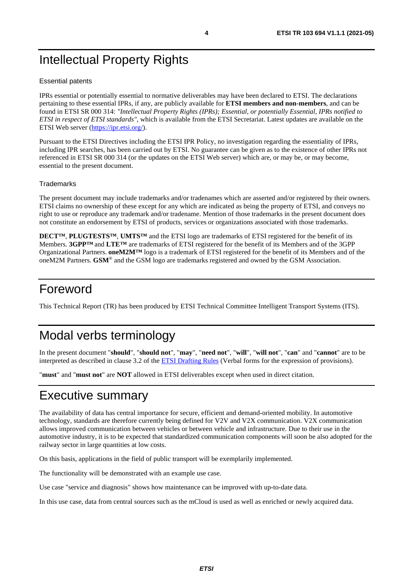## <span id="page-3-0"></span>Intellectual Property Rights

#### Essential patents

IPRs essential or potentially essential to normative deliverables may have been declared to ETSI. The declarations pertaining to these essential IPRs, if any, are publicly available for **ETSI members and non-members**, and can be found in ETSI SR 000 314: *"Intellectual Property Rights (IPRs); Essential, or potentially Essential, IPRs notified to ETSI in respect of ETSI standards"*, which is available from the ETSI Secretariat. Latest updates are available on the ETSI Web server ([https://ipr.etsi.org/\)](https://ipr.etsi.org/).

Pursuant to the ETSI Directives including the ETSI IPR Policy, no investigation regarding the essentiality of IPRs, including IPR searches, has been carried out by ETSI. No guarantee can be given as to the existence of other IPRs not referenced in ETSI SR 000 314 (or the updates on the ETSI Web server) which are, or may be, or may become, essential to the present document.

#### **Trademarks**

The present document may include trademarks and/or tradenames which are asserted and/or registered by their owners. ETSI claims no ownership of these except for any which are indicated as being the property of ETSI, and conveys no right to use or reproduce any trademark and/or tradename. Mention of those trademarks in the present document does not constitute an endorsement by ETSI of products, services or organizations associated with those trademarks.

**DECT™**, **PLUGTESTS™**, **UMTS™** and the ETSI logo are trademarks of ETSI registered for the benefit of its Members. **3GPP™** and **LTE™** are trademarks of ETSI registered for the benefit of its Members and of the 3GPP Organizational Partners. **oneM2M™** logo is a trademark of ETSI registered for the benefit of its Members and of the oneM2M Partners. **GSM**® and the GSM logo are trademarks registered and owned by the GSM Association.

## Foreword

This Technical Report (TR) has been produced by ETSI Technical Committee Intelligent Transport Systems (ITS).

## Modal verbs terminology

In the present document "**should**", "**should not**", "**may**", "**need not**", "**will**", "**will not**", "**can**" and "**cannot**" are to be interpreted as described in clause 3.2 of the [ETSI Drafting Rules](https://portal.etsi.org/Services/editHelp!/Howtostart/ETSIDraftingRules.aspx) (Verbal forms for the expression of provisions).

"**must**" and "**must not**" are **NOT** allowed in ETSI deliverables except when used in direct citation.

## Executive summary

The availability of data has central importance for secure, efficient and demand-oriented mobility. In automotive technology, standards are therefore currently being defined for V2V and V2X communication. V2X communication allows improved communication between vehicles or between vehicle and infrastructure. Due to their use in the automotive industry, it is to be expected that standardized communication components will soon be also adopted for the railway sector in large quantities at low costs.

On this basis, applications in the field of public transport will be exemplarily implemented.

The functionality will be demonstrated with an example use case.

Use case "service and diagnosis" shows how maintenance can be improved with up-to-date data.

In this use case, data from central sources such as the mCloud is used as well as enriched or newly acquired data.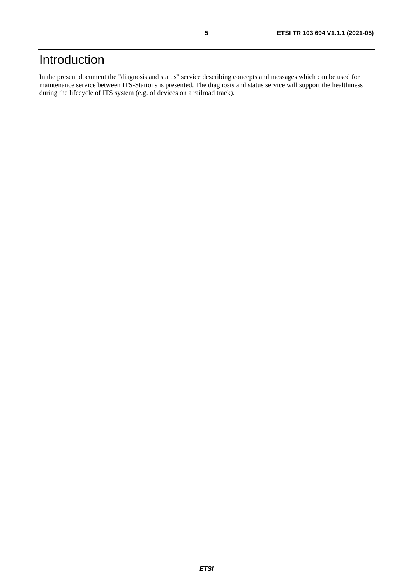## <span id="page-4-0"></span>Introduction

In the present document the "diagnosis and status" service describing concepts and messages which can be used for maintenance service between ITS-Stations is presented. The diagnosis and status service will support the healthiness during the lifecycle of ITS system (e.g. of devices on a railroad track).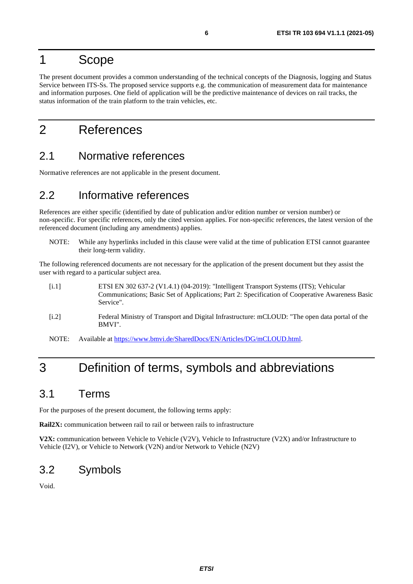## <span id="page-5-0"></span>1 Scope

The present document provides a common understanding of the technical concepts of the Diagnosis, logging and Status Service between ITS-Ss. The proposed service supports e.g. the communication of measurement data for maintenance and information purposes. One field of application will be the predictive maintenance of devices on rail tracks, the status information of the train platform to the train vehicles, etc.

## 2 References

### 2.1 Normative references

Normative references are not applicable in the present document.

### 2.2 Informative references

References are either specific (identified by date of publication and/or edition number or version number) or non-specific. For specific references, only the cited version applies. For non-specific references, the latest version of the referenced document (including any amendments) applies.

NOTE: While any hyperlinks included in this clause were valid at the time of publication ETSI cannot guarantee their long-term validity.

The following referenced documents are not necessary for the application of the present document but they assist the user with regard to a particular subject area.

- [i.1] ETSI EN 302 637-2 (V1.4.1) (04-2019): "Intelligent Transport Systems (ITS); Vehicular Communications; Basic Set of Applications; Part 2: Specification of Cooperative Awareness Basic Service". [i.2] Federal Ministry of Transport and Digital Infrastructure: mCLOUD: "The open data portal of the BMVI".
- NOTE: Available at [https://www.bmvi.de/SharedDocs/EN/Articles/DG/mCLOUD.html.](https://www.bmvi.de/SharedDocs/EN/Articles/DG/mCLOUD.html)

## 3 Definition of terms, symbols and abbreviations

### 3.1 Terms

For the purposes of the present document, the following terms apply:

**Rail2X:** communication between rail to rail or between rails to infrastructure

**V2X:** communication between Vehicle to Vehicle (V2V), Vehicle to Infrastructure (V2X) and/or Infrastructure to Vehicle (I2V), or Vehicle to Network (V2N) and/or Network to Vehicle (N2V)

### 3.2 Symbols

Void.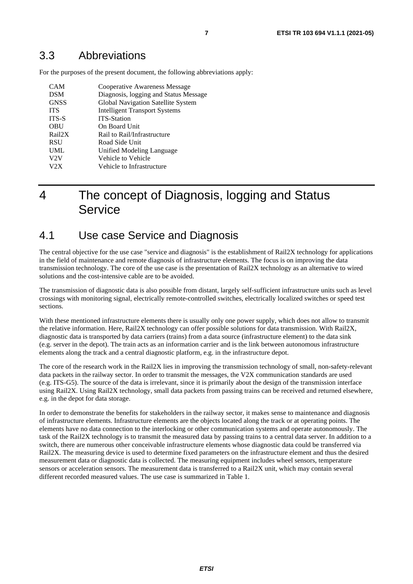### <span id="page-6-0"></span>3.3 Abbreviations

For the purposes of the present document, the following abbreviations apply:

| <b>CAM</b>   | Cooperative Awareness Message         |
|--------------|---------------------------------------|
| <b>DSM</b>   | Diagnosis, logging and Status Message |
| <b>GNSS</b>  | Global Navigation Satellite System    |
| <b>ITS</b>   | <b>Intelligent Transport Systems</b>  |
| <b>ITS-S</b> | <b>ITS-Station</b>                    |
| OBU          | On Board Unit                         |
| Rail2X       | Rail to Rail/Infrastructure           |
| <b>RSU</b>   | Road Side Unit                        |
| <b>UML</b>   | Unified Modeling Language             |
| V2V          | Vehicle to Vehicle                    |
| V2X          | Vehicle to Infrastructure             |

## 4 The concept of Diagnosis, logging and Status **Service**

### 4.1 Use case Service and Diagnosis

The central objective for the use case "service and diagnosis" is the establishment of Rail2X technology for applications in the field of maintenance and remote diagnosis of infrastructure elements. The focus is on improving the data transmission technology. The core of the use case is the presentation of Rail2X technology as an alternative to wired solutions and the cost-intensive cable are to be avoided.

The transmission of diagnostic data is also possible from distant, largely self-sufficient infrastructure units such as level crossings with monitoring signal, electrically remote-controlled switches, electrically localized switches or speed test sections.

With these mentioned infrastructure elements there is usually only one power supply, which does not allow to transmit the relative information. Here, Rail2X technology can offer possible solutions for data transmission. With Rail2X, diagnostic data is transported by data carriers (trains) from a data source (infrastructure element) to the data sink (e.g. server in the depot). The train acts as an information carrier and is the link between autonomous infrastructure elements along the track and a central diagnostic platform, e.g. in the infrastructure depot.

The core of the research work in the Rail2X lies in improving the transmission technology of small, non-safety-relevant data packets in the railway sector. In order to transmit the messages, the V2X communication standards are used (e.g. ITS-G5). The source of the data is irrelevant, since it is primarily about the design of the transmission interface using Rail2X. Using Rail2X technology, small data packets from passing trains can be received and returned elsewhere, e.g. in the depot for data storage.

In order to demonstrate the benefits for stakeholders in the railway sector, it makes sense to maintenance and diagnosis of infrastructure elements. Infrastructure elements are the objects located along the track or at operating points. The elements have no data connection to the interlocking or other communication systems and operate autonomously. The task of the Rail2X technology is to transmit the measured data by passing trains to a central data server. In addition to a switch, there are numerous other conceivable infrastructure elements whose diagnostic data could be transferred via Rail2X. The measuring device is used to determine fixed parameters on the infrastructure element and thus the desired measurement data or diagnostic data is collected. The measuring equipment includes wheel sensors, temperature sensors or acceleration sensors. The measurement data is transferred to a Rail2X unit, which may contain several different recorded measured values. The use case is summarized in Table 1.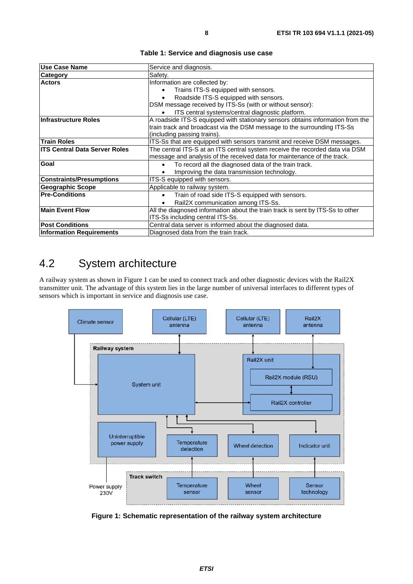<span id="page-7-0"></span>

| <b>IUse Case Name</b>                | Service and diagnosis.                                                                                                                                                                   |
|--------------------------------------|------------------------------------------------------------------------------------------------------------------------------------------------------------------------------------------|
| <b>Category</b>                      | Safety.                                                                                                                                                                                  |
| <b>Actors</b>                        | Information are collected by:                                                                                                                                                            |
|                                      | Trains ITS-S equipped with sensors.                                                                                                                                                      |
|                                      | Roadside ITS-S equipped with sensors.                                                                                                                                                    |
|                                      | DSM message received by ITS-Ss (with or without sensor):                                                                                                                                 |
|                                      | ITS central systems/central diagnostic platform.                                                                                                                                         |
| Infrastructure Roles                 | A roadside ITS-S equipped with stationary sensors obtains information from the<br>train track and broadcast via the DSM message to the surrounding ITS-Ss<br>(including passing trains). |
| <b>Train Roles</b>                   | ITS-Ss that are equipped with sensors transmit and receive DSM messages.                                                                                                                 |
| <b>ITS Central Data Server Roles</b> | The central ITS-S at an ITS central system receive the recorded data via DSM<br>message and analysis of the received data for maintenance of the track.                                  |
| Goal                                 | To record all the diagnosed data of the train track.<br>$\bullet$                                                                                                                        |
|                                      | Improving the data transmission technology.                                                                                                                                              |
| <b>Constraints/Presumptions</b>      | ITS-S equipped with sensors.                                                                                                                                                             |
| <b>Geographic Scope</b>              | Applicable to railway system.                                                                                                                                                            |
| <b>Pre-Conditions</b>                | Train of road side ITS-S equipped with sensors.                                                                                                                                          |
|                                      | Rail2X communication among ITS-Ss.                                                                                                                                                       |
| <b>Main Event Flow</b>               | All the diagnosed information about the train track is sent by ITS-Ss to other<br>ITS-Ss including central ITS-Ss.                                                                       |
| <b>Post Conditions</b>               | Central data server is informed about the diagnosed data.                                                                                                                                |
| <b>Information Requirements</b>      | Diagnosed data from the train track.                                                                                                                                                     |

**Table 1: Service and diagnosis use case** 

## 4.2 System architecture

A railway system as shown in Figure 1 can be used to connect track and other diagnostic devices with the Rail2X transmitter unit. The advantage of this system lies in the large number of universal interfaces to different types of sensors which is important in service and diagnosis use case.



**Figure 1: Schematic representation of the railway system architecture**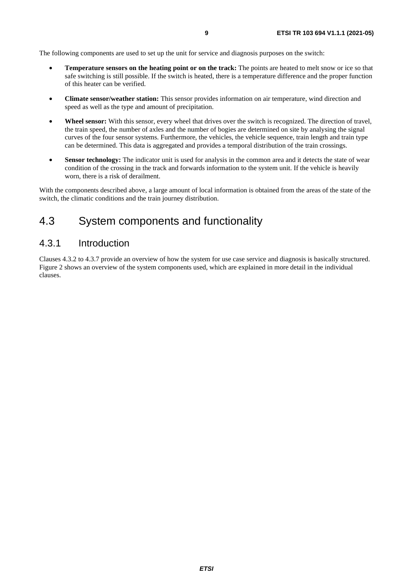<span id="page-8-0"></span>The following components are used to set up the unit for service and diagnosis purposes on the switch:

- **Temperature sensors on the heating point or on the track:** The points are heated to melt snow or ice so that safe switching is still possible. If the switch is heated, there is a temperature difference and the proper function of this heater can be verified.
- **Climate sensor/weather station:** This sensor provides information on air temperature, wind direction and speed as well as the type and amount of precipitation.
- **Wheel sensor:** With this sensor, every wheel that drives over the switch is recognized. The direction of travel, the train speed, the number of axles and the number of bogies are determined on site by analysing the signal curves of the four sensor systems. Furthermore, the vehicles, the vehicle sequence, train length and train type can be determined. This data is aggregated and provides a temporal distribution of the train crossings.
- **Sensor technology:** The indicator unit is used for analysis in the common area and it detects the state of wear condition of the crossing in the track and forwards information to the system unit. If the vehicle is heavily worn, there is a risk of derailment.

With the components described above, a large amount of local information is obtained from the areas of the state of the switch, the climatic conditions and the train journey distribution.

### 4.3 System components and functionality

#### 4.3.1 Introduction

Clauses 4.3.2 to 4.3.7 provide an overview of how the system for use case service and diagnosis is basically structured. Figure 2 shows an overview of the system components used, which are explained in more detail in the individual clauses.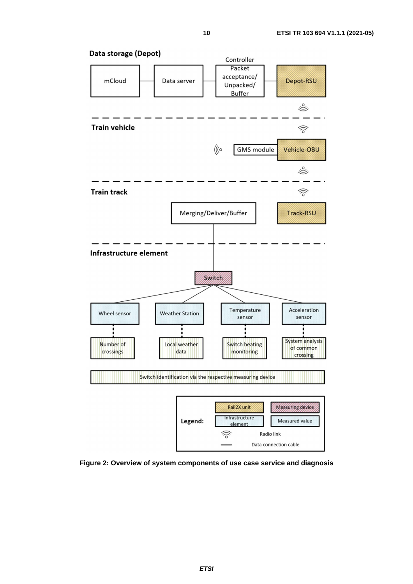

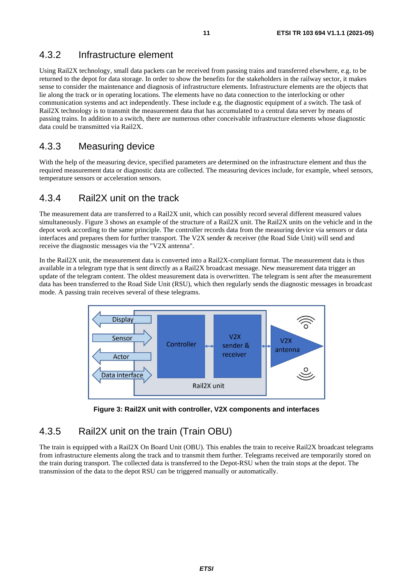### <span id="page-10-0"></span>4.3.2 Infrastructure element

Using Rail2X technology, small data packets can be received from passing trains and transferred elsewhere, e.g. to be returned to the depot for data storage. In order to show the benefits for the stakeholders in the railway sector, it makes sense to consider the maintenance and diagnosis of infrastructure elements. Infrastructure elements are the objects that lie along the track or in operating locations. The elements have no data connection to the interlocking or other communication systems and act independently. These include e.g. the diagnostic equipment of a switch. The task of Rail2X technology is to transmit the measurement data that has accumulated to a central data server by means of passing trains. In addition to a switch, there are numerous other conceivable infrastructure elements whose diagnostic data could be transmitted via Rail2X.

### 4.3.3 Measuring device

With the help of the measuring device, specified parameters are determined on the infrastructure element and thus the required measurement data or diagnostic data are collected. The measuring devices include, for example, wheel sensors, temperature sensors or acceleration sensors.

#### 4.3.4 Rail2X unit on the track

The measurement data are transferred to a Rail2X unit, which can possibly record several different measured values simultaneously. Figure 3 shows an example of the structure of a Rail2X unit. The Rail2X units on the vehicle and in the depot work according to the same principle. The controller records data from the measuring device via sensors or data interfaces and prepares them for further transport. The V2X sender & receiver (the Road Side Unit) will send and receive the diagnostic messages via the "V2X antenna".

In the Rail2X unit, the measurement data is converted into a Rail2X-compliant format. The measurement data is thus available in a telegram type that is sent directly as a Rail2X broadcast message. New measurement data trigger an update of the telegram content. The oldest measurement data is overwritten. The telegram is sent after the measurement data has been transferred to the Road Side Unit (RSU), which then regularly sends the diagnostic messages in broadcast mode. A passing train receives several of these telegrams.



**Figure 3: Rail2X unit with controller, V2X components and interfaces** 

### 4.3.5 Rail2X unit on the train (Train OBU)

The train is equipped with a Rail2X On Board Unit (OBU). This enables the train to receive Rail2X broadcast telegrams from infrastructure elements along the track and to transmit them further. Telegrams received are temporarily stored on the train during transport. The collected data is transferred to the Depot-RSU when the train stops at the depot. The transmission of the data to the depot RSU can be triggered manually or automatically.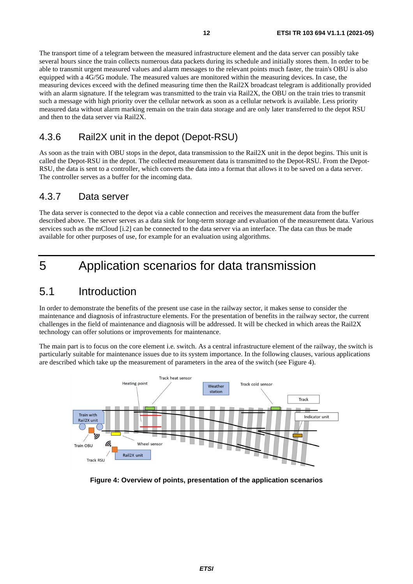<span id="page-11-0"></span>The transport time of a telegram between the measured infrastructure element and the data server can possibly take several hours since the train collects numerous data packets during its schedule and initially stores them. In order to be able to transmit urgent measured values and alarm messages to the relevant points much faster, the train's OBU is also equipped with a 4G/5G module. The measured values are monitored within the measuring devices. In case, the measuring devices exceed with the defined measuring time then the Rail2X broadcast telegram is additionally provided with an alarm signature. If the telegram was transmitted to the train via Rail2X, the OBU on the train tries to transmit such a message with high priority over the cellular network as soon as a cellular network is available. Less priority measured data without alarm marking remain on the train data storage and are only later transferred to the depot RSU and then to the data server via Rail2X.

### 4.3.6 Rail2X unit in the depot (Depot-RSU)

As soon as the train with OBU stops in the depot, data transmission to the Rail2X unit in the depot begins. This unit is called the Depot-RSU in the depot. The collected measurement data is transmitted to the Depot-RSU. From the Depot-RSU, the data is sent to a controller, which converts the data into a format that allows it to be saved on a data server. The controller serves as a buffer for the incoming data.

#### 4.3.7 Data server

The data server is connected to the depot via a cable connection and receives the measurement data from the buffer described above. The server serves as a data sink for long-term storage and evaluation of the measurement data. Various services such as the mCloud [[i.2](#page-5-0)] can be connected to the data server via an interface. The data can thus be made available for other purposes of use, for example for an evaluation using algorithms.

## 5 Application scenarios for data transmission

### 5.1 Introduction

In order to demonstrate the benefits of the present use case in the railway sector, it makes sense to consider the maintenance and diagnosis of infrastructure elements. For the presentation of benefits in the railway sector, the current challenges in the field of maintenance and diagnosis will be addressed. It will be checked in which areas the Rail2X technology can offer solutions or improvements for maintenance.

The main part is to focus on the core element i.e. switch. As a central infrastructure element of the railway, the switch is particularly suitable for maintenance issues due to its system importance. In the following clauses, various applications are described which take up the measurement of parameters in the area of the switch (see Figure 4).



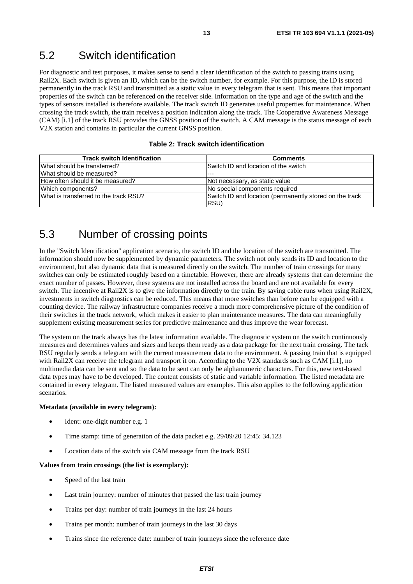### <span id="page-12-0"></span>5.2 Switch identification

For diagnostic and test purposes, it makes sense to send a clear identification of the switch to passing trains using Rail2X. Each switch is given an ID, which can be the switch number, for example. For this purpose, the ID is stored permanently in the track RSU and transmitted as a static value in every telegram that is sent. This means that important properties of the switch can be referenced on the receiver side. Information on the type and age of the switch and the types of sensors installed is therefore available. The track switch ID generates useful properties for maintenance. When crossing the track switch, the train receives a position indication along the track. The Cooperative Awareness Message (CAM) [[i.1](#page-5-0)] of the track RSU provides the GNSS position of the switch. A CAM message is the status message of each V2X station and contains in particular the current GNSS position.

#### **Table 2: Track switch identification**

| <b>Track switch Identification</b>    | <b>Comments</b>                                                 |
|---------------------------------------|-----------------------------------------------------------------|
| What should be transferred?           | Switch ID and location of the switch                            |
| What should be measured?              | $- - -$                                                         |
| How often should it be measured?      | Not necessary, as static value                                  |
| Which components?                     | No special components required                                  |
| What is transferred to the track RSU? | Switch ID and location (permanently stored on the track<br>RSU) |

### 5.3 Number of crossing points

In the "Switch Identification" application scenario, the switch ID and the location of the switch are transmitted. The information should now be supplemented by dynamic parameters. The switch not only sends its ID and location to the environment, but also dynamic data that is measured directly on the switch. The number of train crossings for many switches can only be estimated roughly based on a timetable. However, there are already systems that can determine the exact number of passes. However, these systems are not installed across the board and are not available for every switch. The incentive at Rail2X is to give the information directly to the train. By saving cable runs when using Rail2X, investments in switch diagnostics can be reduced. This means that more switches than before can be equipped with a counting device. The railway infrastructure companies receive a much more comprehensive picture of the condition of their switches in the track network, which makes it easier to plan maintenance measures. The data can meaningfully supplement existing measurement series for predictive maintenance and thus improve the wear forecast.

The system on the track always has the latest information available. The diagnostic system on the switch continuously measures and determines values and sizes and keeps them ready as a data package for the next train crossing. The tack RSU regularly sends a telegram with the current measurement data to the environment. A passing train that is equipped with Rail2X can receive the telegram and transport it on. According to the V2X standards such as CAM [\[i.1](#page-5-0)], no multimedia data can be sent and so the data to be sent can only be alphanumeric characters. For this, new text-based data types may have to be developed. The content consists of static and variable information. The listed metadata are contained in every telegram. The listed measured values are examples. This also applies to the following application scenarios.

#### **Metadata (available in every telegram):**

- Ident: one-digit number e.g. 1
- Time stamp: time of generation of the data packet e.g. 29/09/20 12:45: 34.123
- Location data of the switch via CAM message from the track RSU

#### **Values from train crossings (the list is exemplary):**

- Speed of the last train
- Last train journey: number of minutes that passed the last train journey
- Trains per day: number of train journeys in the last 24 hours
- Trains per month: number of train journeys in the last 30 days
- Trains since the reference date: number of train journeys since the reference date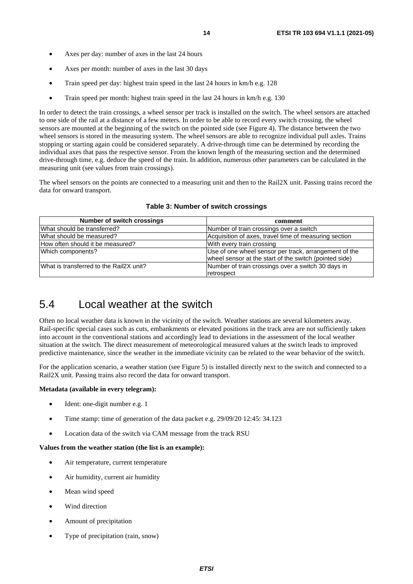- <span id="page-13-0"></span>Axes per day: number of axes in the last 24 hours
- Axes per month: number of axes in the last 30 days
- Train speed per day: highest train speed in the last 24 hours in km/h e.g. 128
- Train speed per month: highest train speed in the last 24 hours in km/h e.g. 130

In order to detect the train crossings, a wheel sensor per track is installed on the switch. The wheel sensors are attached to one side of the rail at a distance of a few meters. In order to be able to record every switch crossing, the wheel sensors are mounted at the beginning of the switch on the pointed side (see Figure 4). The distance between the two wheel sensors is stored in the measuring system. The wheel sensors are able to recognize individual pull axles. Trains stopping or starting again could be considered separately. A drive-through time can be determined by recording the individual axes that pass the respective sensor. From the known length of the measuring section and the determined drive-through time, e.g. deduce the speed of the train. In addition, numerous other parameters can be calculated in the measuring unit (see values from train crossings).

The wheel sensors on the points are connected to a measuring unit and then to the Rail2X unit. Passing trains record the data for onward transport.

| <b>Number of switch crossings</b>       | comment                                                |
|-----------------------------------------|--------------------------------------------------------|
| What should be transferred?             | Number of train crossings over a switch                |
| What should be measured?                | Acquisition of axes, travel time of measuring section  |
| How often should it be measured?        | With every train crossing                              |
| Which components?                       | Use of one wheel sensor per track, arrangement of the  |
|                                         | wheel sensor at the start of the switch (pointed side) |
| What is transferred to the Rail2X unit? | Number of train crossings over a switch 30 days in     |
|                                         | retrospect                                             |

#### **Table 3: Number of switch crossings**

### 5.4 Local weather at the switch

Often no local weather data is known in the vicinity of the switch. Weather stations are several kilometers away. Rail-specific special cases such as cuts, embankments or elevated positions in the track area are not sufficiently taken into account in the conventional stations and accordingly lead to deviations in the assessment of the local weather situation at the switch. The direct measurement of meteorological measured values at the switch leads to improved predictive maintenance, since the weather in the immediate vicinity can be related to the wear behavior of the switch.

For the application scenario, a weather station (see Figure 5) is installed directly next to the switch and connected to a Rail2X unit. Passing trains also record the data for onward transport.

#### **Metadata (available in every telegram):**

- Ident: one-digit number e.g. 1
- Time stamp: time of generation of the data packet e.g. 29/09/20 12:45: 34.123
- Location data of the switch via CAM message from the track RSU

#### **Values from the weather station (the list is an example):**

- Air temperature, current temperature
- Air humidity, current air humidity
- Mean wind speed
- Wind direction
- Amount of precipitation
- Type of precipitation (rain, snow)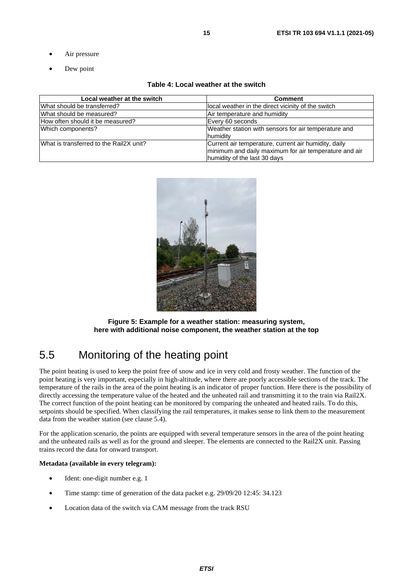- <span id="page-14-0"></span>Air pressure
- Dew point

#### **Table 4: Local weather at the switch**

| Local weather at the switch             | <b>Comment</b>                                                                                                                                |
|-----------------------------------------|-----------------------------------------------------------------------------------------------------------------------------------------------|
| What should be transferred?             | local weather in the direct vicinity of the switch                                                                                            |
| What should be measured?                | Air temperature and humidity                                                                                                                  |
| How often should it be measured?        | Every 60 seconds                                                                                                                              |
| Which components?                       | Weather station with sensors for air temperature and<br>humidity                                                                              |
| What is transferred to the Rail2X unit? | Current air temperature, current air humidity, daily<br>minimum and daily maximum for air temperature and air<br>humidity of the last 30 days |



**Figure 5: Example for a weather station: measuring system, here with additional noise component, the weather station at the top** 

### 5.5 Monitoring of the heating point

The point heating is used to keep the point free of snow and ice in very cold and frosty weather. The function of the point heating is very important, especially in high-altitude, where there are poorly accessible sections of the track. The temperature of the rails in the area of the point heating is an indicator of proper function. Here there is the possibility of directly accessing the temperature value of the heated and the unheated rail and transmitting it to the train via Rail2X. The correct function of the point heating can be monitored by comparing the unheated and heated rails. To do this, setpoints should be specified. When classifying the rail temperatures, it makes sense to link them to the measurement data from the weather station (see clause 5.4).

For the application scenario, the points are equipped with several temperature sensors in the area of the point heating and the unheated rails as well as for the ground and sleeper. The elements are connected to the Rail2X unit. Passing trains record the data for onward transport.

#### **Metadata (available in every telegram):**

- Ident: one-digit number e.g. 1
- Time stamp: time of generation of the data packet e.g. 29/09/20 12:45: 34.123
- Location data of the switch via CAM message from the track RSU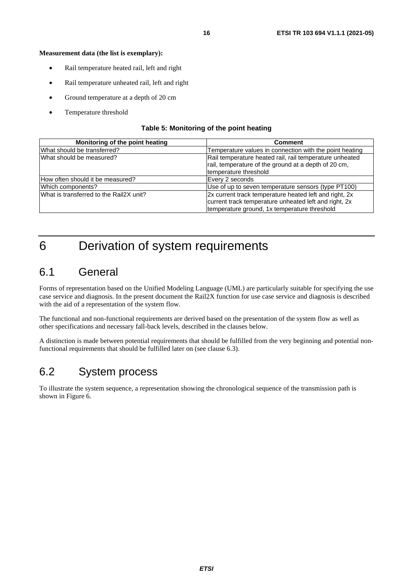#### <span id="page-15-0"></span>**Measurement data (the list is exemplary):**

- Rail temperature heated rail, left and right
- Rail temperature unheated rail, left and right
- Ground temperature at a depth of 20 cm
- Temperature threshold

#### **Table 5: Monitoring of the point heating**

| Monitoring of the point heating         | <b>Comment</b>                                          |
|-----------------------------------------|---------------------------------------------------------|
| What should be transferred?             | Temperature values in connection with the point heating |
| What should be measured?                | Rail temperature heated rail, rail temperature unheated |
|                                         | rail, temperature of the ground at a depth of 20 cm,    |
|                                         | temperature threshold                                   |
| How often should it be measured?        | Every 2 seconds                                         |
| Which components?                       | Use of up to seven temperature sensors (type PT100)     |
| What is transferred to the Rail2X unit? | 2x current track temperature heated left and right, 2x  |
|                                         | current track temperature unheated left and right, 2x   |
|                                         | temperature ground, 1x temperature threshold            |

## 6 Derivation of system requirements

### 6.1 General

Forms of representation based on the Unified Modeling Language (UML) are particularly suitable for specifying the use case service and diagnosis. In the present document the Rail2X function for use case service and diagnosis is described with the aid of a representation of the system flow.

The functional and non-functional requirements are derived based on the presentation of the system flow as well as other specifications and necessary fall-back levels, described in the clauses below.

A distinction is made between potential requirements that should be fulfilled from the very beginning and potential nonfunctional requirements that should be fulfilled later on (see clause 6.3).

### 6.2 System process

To illustrate the system sequence, a representation showing the chronological sequence of the transmission path is shown in Figure 6.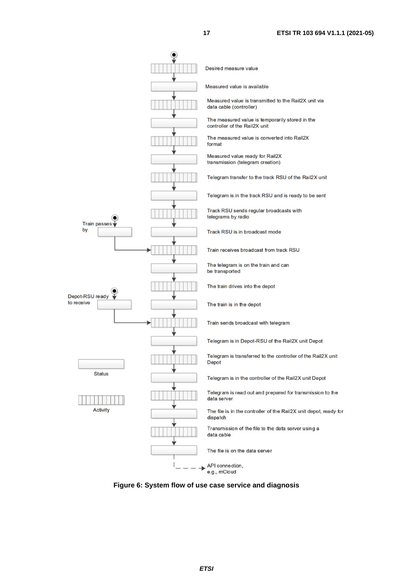

**Figure 6: System flow of use case service and diagnosis**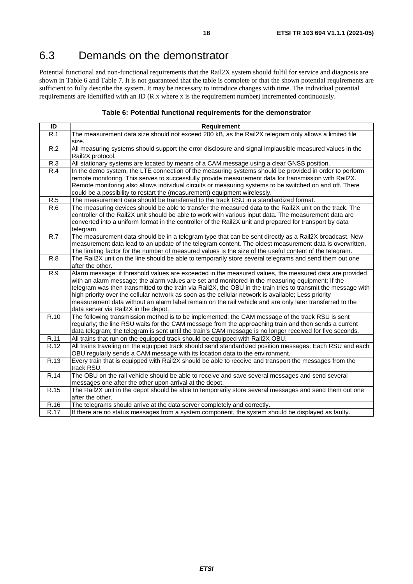## <span id="page-17-0"></span>6.3 Demands on the demonstrator

Potential functional and non-functional requirements that the Rail2X system should fulfil for service and diagnosis are shown in Table 6 and Table 7. It is not guaranteed that the table is complete or that the shown potential requirements are sufficient to fully describe the system. It may be necessary to introduce changes with time. The individual potential requirements are identified with an ID (R.x where x is the requirement number) incremented continuously.

#### **Table 6: Potential functional requirements for the demonstrator**

| ID               | Requirement                                                                                                                 |
|------------------|-----------------------------------------------------------------------------------------------------------------------------|
| R.1              | The measurement data size should not exceed 200 kB, as the Rail2X telegram only allows a limited file                       |
|                  | size.                                                                                                                       |
| R.2              | All measuring systems should support the error disclosure and signal implausible measured values in the                     |
|                  | Rail2X protocol.                                                                                                            |
| R.3              | All stationary systems are located by means of a CAM message using a clear GNSS position.                                   |
| R.4              | In the demo system, the LTE connection of the measuring systems should be provided in order to perform                      |
|                  | remote monitoring. This serves to successfully provide measurement data for transmission with Rail2X.                       |
|                  | Remote monitoring also allows individual circuits or measuring systems to be switched on and off. There                     |
|                  | could be a possibility to restart the (measurement) equipment wirelessly.                                                   |
| R.5              | The measurement data should be transferred to the track RSU in a standardized format.                                       |
| R.6              | The measuring devices should be able to transfer the measured data to the Rail2X unit on the track. The                     |
|                  | controller of the Rail2X unit should be able to work with various input data. The measurement data are                      |
|                  | converted into a uniform format in the controller of the Rail2X unit and prepared for transport by data                     |
|                  | telegram.                                                                                                                   |
| $\overline{R.7}$ | The measurement data should be in a telegram type that can be sent directly as a Rail2X broadcast. New                      |
|                  | measurement data lead to an update of the telegram content. The oldest measurement data is overwritten.                     |
|                  | The limiting factor for the number of measured values is the size of the useful content of the telegram.                    |
| R.8              | The Rail2X unit on the line should be able to temporarily store several telegrams and send them out one<br>after the other. |
| R.9              | Alarm message: if threshold values are exceeded in the measured values, the measured data are provided                      |
|                  | with an alarm message; the alarm values are set and monitored in the measuring equipment; If the                            |
|                  | telegram was then transmitted to the train via Rail2X, the OBU in the train tries to transmit the message with              |
|                  | high priority over the cellular network as soon as the cellular network is available; Less priority                         |
|                  | measurement data without an alarm label remain on the rail vehicle and are only later transferred to the                    |
|                  | data server via Rail2X in the depot.                                                                                        |
| R.10             | The following transmission method is to be implemented: the CAM message of the track RSU is sent                            |
|                  | regularly; the line RSU waits for the CAM message from the approaching train and then sends a current                       |
|                  | data telegram; the telegram is sent until the train's CAM message is no longer received for five seconds.                   |
| R.11             | All trains that run on the equipped track should be equipped with Rail2X OBU.                                               |
| R.12             | All trains traveling on the equipped track should send standardized position messages. Each RSU and each                    |
|                  | OBU regularly sends a CAM message with its location data to the environment.                                                |
| R.13             | Every train that is equipped with Rail2X should be able to receive and transport the messages from the                      |
|                  | track RSU.                                                                                                                  |
| R.14             | The OBU on the rail vehicle should be able to receive and save several messages and send several                            |
|                  | messages one after the other upon arrival at the depot.                                                                     |
| R.15             | The Rail2X unit in the depot should be able to temporarily store several messages and send them out one                     |
|                  | after the other.                                                                                                            |
| R.16             | The telegrams should arrive at the data server completely and correctly.                                                    |
| R.17             | If there are no status messages from a system component, the system should be displayed as faulty.                          |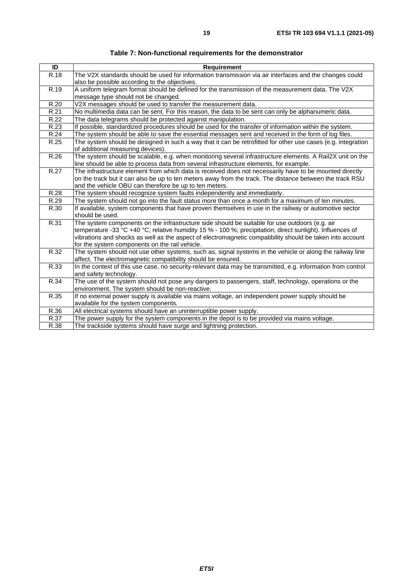| ID   | <b>Requirement</b>                                                                                                                     |
|------|----------------------------------------------------------------------------------------------------------------------------------------|
| R.18 | The V2X standards should be used for information transmission via air interfaces and the changes could                                 |
|      | also be possible according to the objectives.                                                                                          |
| R.19 | A uniform telegram format should be defined for the transmission of the measurement data. The V2X                                      |
|      | message type should not be changed.                                                                                                    |
| R.20 | V2X messages should be used to transfer the measurement data.                                                                          |
| R.21 | No multimedia data can be sent. For this reason, the data to be sent can only be alphanumeric data.                                    |
| R.22 | The data telegrams should be protected against manipulation.                                                                           |
| R.23 | If possible, standardized procedures should be used for the transfer of information within the system.                                 |
| R.24 | The system should be able to save the essential messages sent and received in the form of log files.                                   |
| R.25 | The system should be designed in such a way that it can be retrofitted for other use cases (e.g. integration                           |
|      | of additional measuring devices).                                                                                                      |
| R.26 | The system should be scalable, e.g. when monitoring several infrastructure elements. A Rail2X unit on the                              |
|      | line should be able to process data from several infrastructure elements, for example.                                                 |
| R.27 | The infrastructure element from which data is received does not necessarily have to be mounted directly                                |
|      | on the track but it can also be up to ten meters away from the track. The distance between the track RSU                               |
|      | and the vehicle OBU can therefore be up to ten meters.                                                                                 |
| R.28 | The system should recognize system faults independently and immediately.                                                               |
| R.29 | The system should not go into the fault status more than once a month for a maximum of ten minutes.                                    |
| R.30 | If available, system components that have proven themselves in use in the railway or automotive sector                                 |
|      | should be used.                                                                                                                        |
| R.31 | The system components on the infrastructure side should be suitable for use outdoors (e.g. air                                         |
|      | temperature -33 °C +40 °C; relative humidity 15 % - 100 %; precipitation; direct sunlight). Influences of                              |
|      | vibrations and shocks as well as the aspect of electromagnetic compatibility should be taken into account                              |
|      | for the system components on the rail vehicle.                                                                                         |
| R.32 | The system should not use other systems, such as, signal systems in the vehicle or along the railway line                              |
| R.33 | affect. The electromagnetic compatibility should be ensured.                                                                           |
|      | In the context of this use case, no security-relevant data may be transmitted, e.g. information from control<br>and safety technology. |
| R.34 | The use of the system should not pose any dangers to passengers, staff, technology, operations or the                                  |
|      | environment. The system should be non-reactive.                                                                                        |
| R.35 | If no external power supply is available via mains voltage, an independent power supply should be                                      |
|      | available for the system components.                                                                                                   |
| R.36 | All electrical systems should have an uninterruptible power supply.                                                                    |
| R.37 | The power supply for the system components in the depot is to be provided via mains voltage.                                           |
| R.38 | The trackside systems should have surge and lightning protection.                                                                      |
|      |                                                                                                                                        |

**Table 7: Non-functional requirements for the demonstrator**